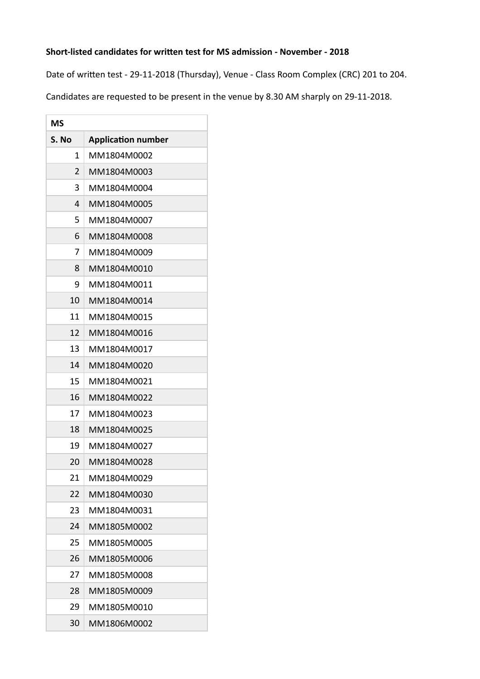## Short-listed candidates for written test for MS admission - November - 2018

Date of written test - 29-11-2018 (Thursday), Venue - Class Room Complex (CRC) 201 to 204.

Candidates are requested to be present in the venue by 8.30 AM sharply on 29-11-2018.

| <b>MS</b>      |                           |  |
|----------------|---------------------------|--|
| S. No          | <b>Application number</b> |  |
| 1              | MM1804M0002               |  |
| $\overline{2}$ | MM1804M0003               |  |
| 3              | MM1804M0004               |  |
| 4              | MM1804M0005               |  |
| 5              | MM1804M0007               |  |
| 6              | MM1804M0008               |  |
| 7              | MM1804M0009               |  |
| 8              | MM1804M0010               |  |
| 9              | MM1804M0011               |  |
| 10             | MM1804M0014               |  |
| 11             | MM1804M0015               |  |
| 12             | MM1804M0016               |  |
| 13             | MM1804M0017               |  |
| 14             | MM1804M0020               |  |
| 15             | MM1804M0021               |  |
| 16             | MM1804M0022               |  |
| 17             | MM1804M0023               |  |
| 18             | MM1804M0025               |  |
| 19             | MM1804M0027               |  |
| 20             | MM1804M0028               |  |
| 21             | MM1804M0029               |  |
| 22             | MM1804M0030               |  |
| 23             | MM1804M0031               |  |
| 24             | MM1805M0002               |  |
| 25             | MM1805M0005               |  |
| 26             | MM1805M0006               |  |
| 27             | MM1805M0008               |  |
| 28             | MM1805M0009               |  |
| 29             | MM1805M0010               |  |
| 30             | MM1806M0002               |  |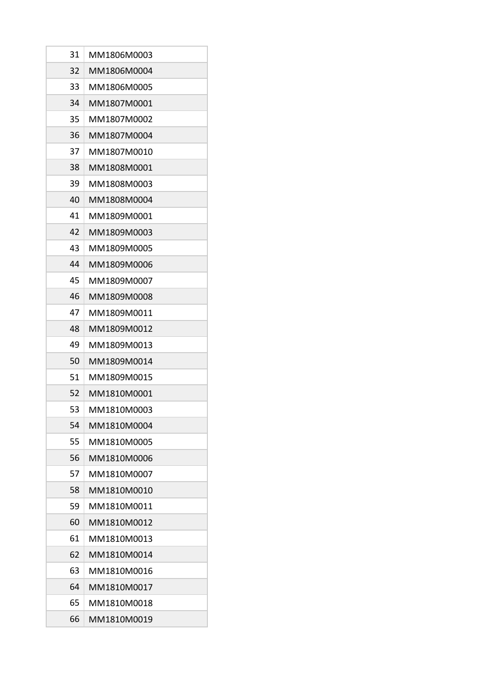| 31 | MM1806M0003 |
|----|-------------|
| 32 | MM1806M0004 |
| 33 | MM1806M0005 |
| 34 | MM1807M0001 |
| 35 | MM1807M0002 |
| 36 | MM1807M0004 |
| 37 | MM1807M0010 |
| 38 | MM1808M0001 |
| 39 | MM1808M0003 |
| 40 | MM1808M0004 |
| 41 | MM1809M0001 |
| 42 | MM1809M0003 |
| 43 | MM1809M0005 |
| 44 | MM1809M0006 |
| 45 | MM1809M0007 |
| 46 | MM1809M0008 |
| 47 | MM1809M0011 |
| 48 | MM1809M0012 |
| 49 | MM1809M0013 |
| 50 | MM1809M0014 |
| 51 | MM1809M0015 |
| 52 | MM1810M0001 |
| 53 | MM1810M0003 |
| 54 | MM1810M0004 |
| 55 | MM1810M0005 |
| 56 | MM1810M0006 |
| 57 | MM1810M0007 |
| 58 | MM1810M0010 |
| 59 | MM1810M0011 |
| 60 | MM1810M0012 |
| 61 | MM1810M0013 |
| 62 | MM1810M0014 |
| 63 | MM1810M0016 |
| 64 | MM1810M0017 |
| 65 | MM1810M0018 |
| 66 | MM1810M0019 |